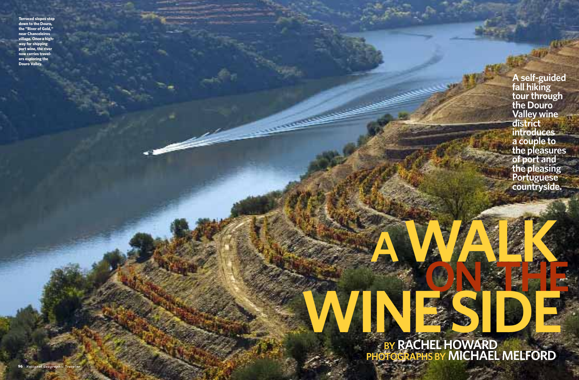**BY RACHEL HOWARD PHOTOGRAPHS BY MICHAEL MELFORD AWALK ON THE WINE SIDE**

**A self-guided fall hiking tour through the Douro Valley wine district introduces a couple to the pleasures of port and the pleasing Portuguese countryside.**

**Terraced slopes step down to the Douro, the "River of Gold," near Chanceleiros village. Once a highway for shipping port wine, the river now carries travelers exploring the Douro Valley.**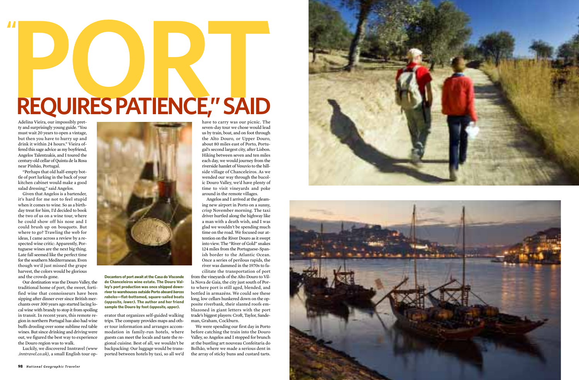have to carry was our picnic. The seven-day tour we chose would lead us by train, boat, and on foot through the Alto Douro, or Upper Douro, about 80 miles east of Porto, Portugal's second largest city, after Lisbon. Hiking between seven and ten miles each day, we would journey from the riverside hamlet of Vesuvio to the hillside village of Chanceleiros. As we wended our way through the bucolic Douro Valley, we'd have plenty of time to visit vineyards and poke around in the remote villages.

Angelos and I arrived at the gleaming new airport in Porto on a sunny, crisp November morning. The taxi driver hurtled along the highway like a man with a death wish, and I was glad we wouldn't be spending much time on the road. We focused our attention on the River Douro as it swept into view. The "River of Gold" snakes 124 miles from the Portuguese-Spanish border to the Atlantic Ocean. Once a series of perilous rapids, the river was dammed in the 1970s to facilitate the transportation of port

from the vineyards of the Alto Douro to Villa Nova de Gaia, the city just south of Porto where port is still aged, blended, and bottled in armazéns. We could see these long, low cellars hunkered down on the opposite riverbank, their slanted roofs emblazoned in giant letters with the port trade's biggest players: Croft, Taylor, Sandeman, Graham, Cockburn.

We were spending our first day in Porto before catching the train into the Douro Valley, so Angelos and I stopped for brunch at the bustling art nouveau Confeitaria do Bolhão, where we made a serious dent in the array of sticky buns and custard tarts.





## **PORTLED BY A REQUIRES PATIENCE," SAID**

Adelina Vieira, our impossibly pretty and surprisingly young guide. "You must wait 20 years to open a vintage, but then you have to hurry up and drink it within 24 hours." Vieira offered this sage advice as my boyfriend, Angelos Talentzakis, and I toured the century-old cellar of Quinta de la Rosa near Pinhão, Portugal.

"Perhaps that old half-empty bottle of port lurking in the back of your kitchen cabinet would make a good salad dressing," said Angelos.

Given that Angelos is a bartender, it's hard for me not to feel stupid when it comes to wine. So as a birthday treat for him, I'd decided to book the two of us on a wine tour, where he could show off his nose and I could brush up on bouquets. But where to go? Trawling the web for ideas, I came across a review by a respected wine critic: Apparently, Portuguese wines are the next big thing. Late fall seemed like the perfect time for the southern Mediterranean. Even though we'd just missed the grape harvest, the colors would be glorious and the crowds gone.

Our destination was the Douro Valley, the traditional home of port, the sweet, fortified wine that connoisseurs have been sipping after dinner ever since British merchants over 300 years ago started lacing local wine with brandy to stop it from spoiling in transit. In recent years, this remote region in northern Portugal has also had wine buffs drooling over some sublime red table wines. But since drinking and driving were out, we figured the best way to experience the Douro region was to walk.

Luckily, we discovered Inntravel *(www .inntravel.co.uk),* a small English tour op-



erator that organizes self-guided walking trips. The company provides maps and other tour information and arranges accommodation in family-run hotels, where guests can meet the locals and taste the regional cuisine. Best of all, we wouldn't be backpacking: Our luggage would be transported between hotels by taxi, so all we'd

**Decanters of port await at the Casa do Visconde de Chanceleiros wine estate. The Douro Valley's port production was once shipped downriver to warehouses outside Porto aboard** *barcos rabelos***—flat-bottomed, square-sailed boats** *(opposite, lower).* **The author and her friend sample the Douro by foot** *(opposite, upper).*

**"**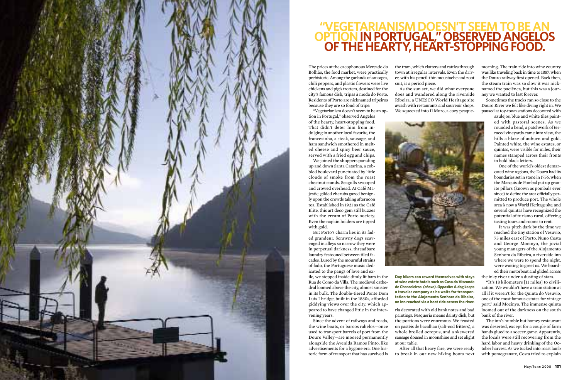The prices at the cacophonous Mercado do Bolhão, the food market, were practically prehistoric. Among the garlands of sausages, chili peppers, and plastic flowers were live chickens and pig's trotters, destined for the city's famous dish, tripas à moda do Porto. Residents of Porto are nicknamed tripeiros because they are so fond of tripe.

"Vegetarianism doesn't seem to be an option in Portugal," observed Angelos of the hearty, heart-stopping food. That didn't deter him from indulging in another local favorite, the francesinha, a steak, sausage, and ham sandwich smothered in melted cheese and spicy beer sauce, served with a fried egg and chips.

We joined the shoppers parading up and down Santa Catarina, a cobbled boulevard punctuated by little clouds of smoke from the roast chestnut stands. Seagulls swooped and crowed overhead. At Café Majestic, gilded cherubs gazed benignly upon the crowds taking afternoon tea. Established in 1921 as the Café Elite, this art deco gem still buzzes with the cream of Porto society. Even the napkin holders are tipped with gold.

But Porto's charm lies in its faded grandeur. Scrawny dogs scavenged in alleys so narrow they were in perpetual darkness, threadbare laundry festooned between tiled facades. Lured by the mournful strains of fado, the Portuguese music dedicated to the pangs of love and ex-

ile, we stepped inside dimly lit bars in the Rua de Como da Villa. The medieval cathedral loomed above the city, almost sinister in its bulk. The double-tiered Ponte Dom Luís I bridge, built in the 1880s, afforded giddying views over the city, which appeared to have changed little in the intervening years.

Since the advent of railways and roads, the wine boats, or barcos rabelos—once used to transport barrels of port from the Douro Valley—are moored permanently alongside the Avenida Ramos Pinto, like advertisements for a bygone era. One historic form of transport that has survived is

the tram, which clatters and rattles through town at irregular intervals. Even the driver, with his pencil-thin moustache and zoot suit, is a period piece.

As the sun set, we did what everyone does and wandered along the riverside Ribeira, a UNESCO World Heritage site awash with restaurants and souvenir shops. We squeezed into Il Muro, a cozy pesque-



morning. The train ride into wine country was like traveling back in time to 1887, when the Douro railway first opened. Back then, the steam train was so slow it was nicknamed the paciênca, but this was a journey we wanted to last forever.

Sometimes the tracks ran so close to the Douro River we felt like diving right in. We paused at toy-town stations decorated with

azulejos, blue and white tiles painted with pastoral scenes. As we rounded a bend, a patchwork of terraced vineyards came into view, the hills a blaze of auburn and gold. Painted white, the wine estates, or quintas, were visible for miles, their names stamped across their fronts in bold black letters.

One of the world's oldest demarcated wine regions, the Douro had its boundaries set in stone in 1756, when the Marquis de Pombal put up granite pillars (known as pombals ever since) to define the area officially permitted to produce port. The whole area is now a World Heritage site, and several quintas have recognized the potential of turismo rural, offering tasting tours and rooms to rent.

It was pitch dark by the time we reached the tiny station of Vesuvio, 75 miles east of Porto. Nuno Costa and George Mocinyo, the jovial young managers of the Alojamento Senhora da Ribeira, a riverside inn where we were to spend the night, were waiting to greet us. We boarded their motorboat and glided across

the inky river under a dusting of stars. "It's 18 kilometers [11 miles] to civili-

zation. We wouldn't have a train station at all if it weren't for the Quinta do Vesuvio, one of the most famous estates for vintage port," said Mocinyo. The immense quinta loomed out of the darkness on the south bank of the river.

The inn's humble but homey restaurant was deserted, except for a couple of farm hands glued to a soccer game. Apparently, the locals were still recovering from the hard labor and heavy drinking of the October harvest. As we tucked into roast lamb with pomegranate, Costa tried to explain



## **"VEGETARIANISM DOESN'T SEEM TO BE AN OPTIONIN PORTUGAL," OBSERVED ANGELOS OF THE HEARTY, HEART-STOPPING FOOD.**

**Day hikers can reward themselves with stays at wine estate hotels such as Casa do Visconde de Chanceleiros** *(above). Opposite:* **A dog keeps a traveler company as he waits for transportation to the Alojamento Senhora da Ribeira, an inn reached via a boat ride across the river.**

ria decorated with old bank notes and bad paintings. Pesqueria means dainty dish, but the portions were enormous. We feasted on pastéis de bacalhau (salt-cod fritters), a whole broiled octopus, and a skewered sausage doused in moonshine and set alight at our table.

After all that heavy fare, we were ready to break in our new hiking boots next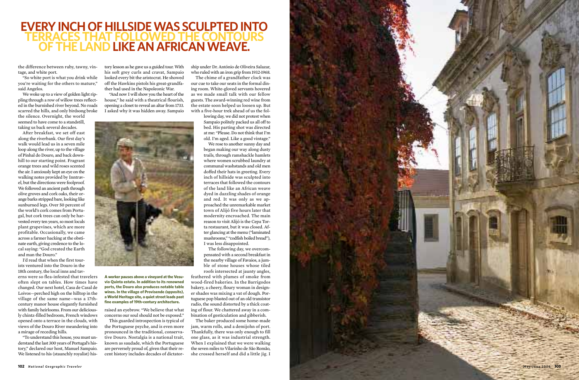the difference between ruby, tawny, vintage, and white port.

"So white port is what you drink while you're waiting for the others to mature," said Angelos.

We woke up to a view of golden light rippling through a row of willow trees reflected in the burnished river beyond. No roads scarred the hills, and only birdsong broke the silence. Overnight, the world

seemed to have come to a standstill, taking us back several decades.

After breakfast, we set off east along the riverbank. Our first day's walk would lead us in a seven mile loop along the river, up to the village of Pinhal do Douro, and back downhill to our starting point. Fragrant orange trees and wild roses scented the air. I anxiously kept an eye on the walking notes provided by Inntravel, but the directions were foolproof. We followed an ancient path through olive groves and cork oaks, their orange barks stripped bare, looking like sunburned legs. Over 50 percent of the world's cork comes from Portugal, but cork trees can only be harvested every ten years, so most locals plant grapevines, which are more profitable. Occasionally, we came across a farmer hacking at the obstinate earth, giving credence to the local saying: "God created the Earth and man the Douro."

I'd read that when the first tourists ventured into the Douro in the 18th century, the local inns and taverns were so flea-infested that travelers often slept on tables. How times have changed. Our next hotel, Casa de Casal de Loivos—perched high on the hilltop in the village of the same name—was a 17thcentury manor house elegantly furnished with family heirlooms. From our deliciously chintz-filled bedroom, French windows opened onto a terrace in the clouds, with views of the Douro River meandering into a mirage of receding hills.

"To understand this house, you must understand the last 300 years of Portugal's history," declared our host, Manuel Sampaio. We listened to his (staunchly royalist) history lesson as he gave us a guided tour. With his soft grey curls and cravat, Sampaio looked every bit the aristocrat. He showed off the Hawkins pistols his great-grandfather had used in the Napoleonic War.

"And now I will show you the heart of the house," he said with a theatrical flourish, opening a closet to reveal an altar from 1733. I asked why it was hidden away. Sampaio

ship under Dr. António de Oliveira Salazar, who ruled with an iron grip from 1932-1968.

## **EVERY INCH OF HILLSIDE WAS SCULPTED INTO TERRACES THAT FOLLOWED THE CONTOURS OF THE LAND LIKE AN AFRICAN WEAVE.**

The chime of a grandfather clock was our cue to take our seats in the formal dining room. White-gloved servants hovered as we made small talk with our fellow guests. The award-winning red wine from the estate soon helped us loosen up. But with a five-hour trek ahead of us the fol-

lowing day, we did not protest when Sampaio politely packed us all off to bed. His parting shot was directed at me: "Please. Do not think that I'm old. I'm aged. Like a good vintage."

We rose to another sunny day and began making our way along dusty trails, through ramshackle hamlets where women scrubbed laundry at communal washstands and old men doffed their hats in greeting. Every inch of hillside was sculpted into terraces that followed the contours of the land like an African weave dyed in dazzling shades of orange and red. It was only as we approached the unremarkable market town of Alijó five hours later that modernity encroached. The main reason to visit Alijó is the Cepa Torta restaurant, but it was closed. After glancing at the menu ("laminated mushrooms," "codfish boiled bread"), I was less disappointed.

The following day, we overcompensated with a second breakfast in the nearby village of Favaios, a jumble of stone houses whose tiled roofs intersected at jaunty angles,

feathered with plumes of smoke from wood-fired bakeries. In the Barrigodos bakery, a cheery, floury woman in designer shades was mixing a vat of dough. Portuguese pop blasted out of an old transistor radio, the sound distorted by a thick coating of flour. We chattered away in a combination of gesticulation and gibberish.

The baker produced some home-made jam, warm rolls, and a demijohn of port. Thankfully, there was only enough to fill one glass, as it was industrial strength. When I explained that we were walking the seven miles to Vilarinho de São Romão, she crossed herself and did a little jig. I

raised an eyebrow. "We believe that what concerns our soul should not be exposed."

This guarded introspection is typical of the Portuguese psyche, and is even more pronounced in the traditional, conservative Douro. Nostalgia is a national trait, known as saudade, which the Portuguese are perversely proud of, given that their recent history includes decades of dictator-



**A worker pauses above a vineyard at the Vesuvio Quinta estate. In addition to its renowned ports, the Douro also produces notable table wines. In the village of Provisende** *(opposite),* **a World Heritage site, a quiet street leads past fine examples of 19th-century architecture.**